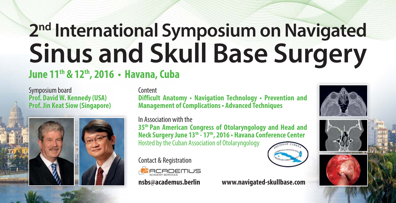# **2nd International Symposium on Navigated Sinus and Skull Base Surgery June 11th & 12th, 2016 • Havana, Cuba**

Symposium board **Prof. David W. Kennedy (USA) Prof. Jin Keat Siow (Singapore)**





**Content Difficult Anatomy • Navigation Technology • Prevention and Management of Complications • Advanced Techniques**

# In Association with the

**35th Pan American Congress of Otolaryngology and Head and Neck Surgery June 13th - 17th, 2016 • Havana Conference Center** Hosted by the Cuban Association of Otolaryngology

Contact & Registration